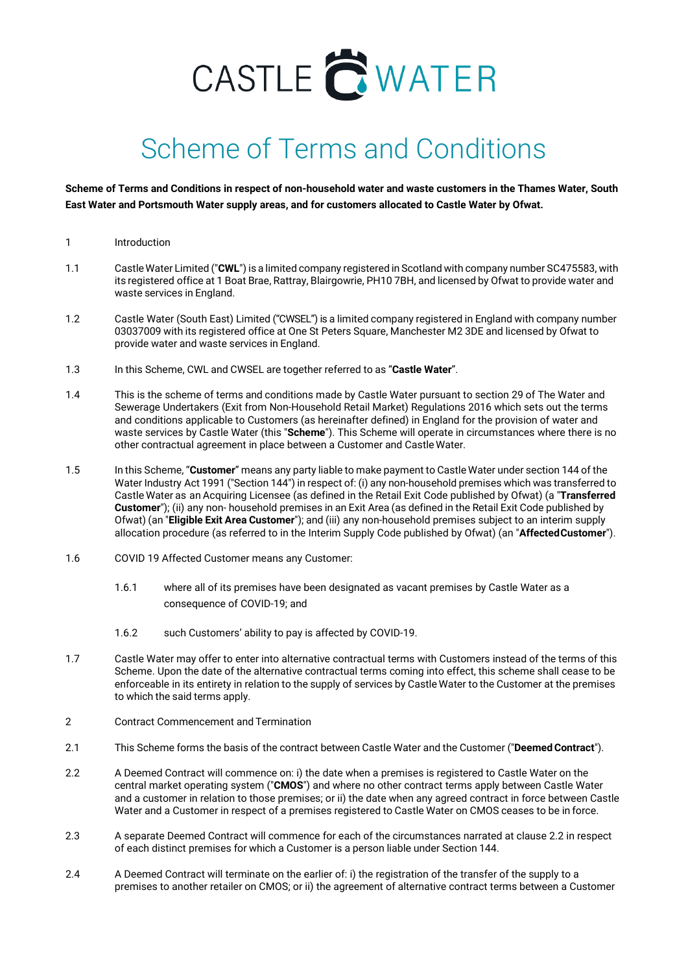## CASTLE CWATER

## Scheme of Terms and Conditions

**Scheme of Terms and Conditions in respect of non-household water and waste customers in the Thames Water, South East Water and Portsmouth Water supply areas, and for customers allocated to Castle Water by Ofwat.**

- 1 Introduction
- 1.1 CastleWater Limited ("**CWL**") is a limited company registered in Scotland with company number SC475583, with its registered office at 1 Boat Brae, Rattray, Blairgowrie, PH10 7BH, and licensed by Ofwat to provide water and waste services in England.
- 1.2 Castle Water (South East) Limited ("CWSEL") is a limited company registered in England with company number 03037009 with its registered office at One St Peters Square, Manchester M2 3DE and licensed by Ofwat to provide water and waste services in England.
- 1.3 In this Scheme, CWL and CWSEL are together referred to as "**Castle Water**".
- 1.4 This is the scheme of terms and conditions made by Castle Water pursuant to section 29 of The Water and Sewerage Undertakers (Exit from Non-Household Retail Market) Regulations 2016 which sets out the terms and conditions applicable to Customers (as hereinafter defined) in England for the provision of water and waste services by Castle Water (this "**Scheme**"). This Scheme will operate in circumstances where there is no other contractual agreement in place between a Customer and Castle Water.
- 1.5 In this Scheme, "**Customer**" means any party liable to make payment to Castle Water under section 144 of the Water Industry Act 1991 ("Section 144") in respect of: (i) any non-household premises which was transferred to Castle Water as an Acquiring Licensee (as defined in the Retail Exit Code published by Ofwat) (a "**Transferred Customer**"); (ii) any non- household premises in an Exit Area (as defined in the Retail Exit Code published by Ofwat) (an "**Eligible Exit Area Customer**"); and (iii) any non-household premises subject to an interim supply allocation procedure (as referred to in the Interim Supply Code published by Ofwat) (an "**AffectedCustomer**").
- 1.6 COVID 19 Affected Customer means any Customer:
	- 1.6.1 where all of its premises have been designated as vacant premises by Castle Water as a consequence of COVID-19; and
	- 1.6.2 such Customers' ability to pay is affected by COVID-19.
- 1.7 Castle Water may offer to enter into alternative contractual terms with Customers instead of the terms of this Scheme. Upon the date of the alternative contractual terms coming into effect, this scheme shall cease to be enforceable in its entirety in relation to the supply of services by Castle Water to the Customer at the premises to which the said terms apply.
- 2 Contract Commencement and Termination
- 2.1 This Scheme forms the basis of the contract between Castle Water and the Customer ("**DeemedContract**").
- 2.2 A Deemed Contract will commence on: i) the date when a premises is registered to Castle Water on the central market operating system ("**CMOS**") and where no other contract terms apply between Castle Water and a customer in relation to those premises; or ii) the date when any agreed contract in force between Castle Water and a Customer in respect of a premises registered to Castle Water on CMOS ceases to be in force.
- 2.3 A separate Deemed Contract will commence for each of the circumstances narrated at clause 2.2 in respect of each distinct premises for which a Customer is a person liable under Section 144.
- 2.4 A Deemed Contract will terminate on the earlier of: i) the registration of the transfer of the supply to a premises to another retailer on CMOS; or ii) the agreement of alternative contract terms between a Customer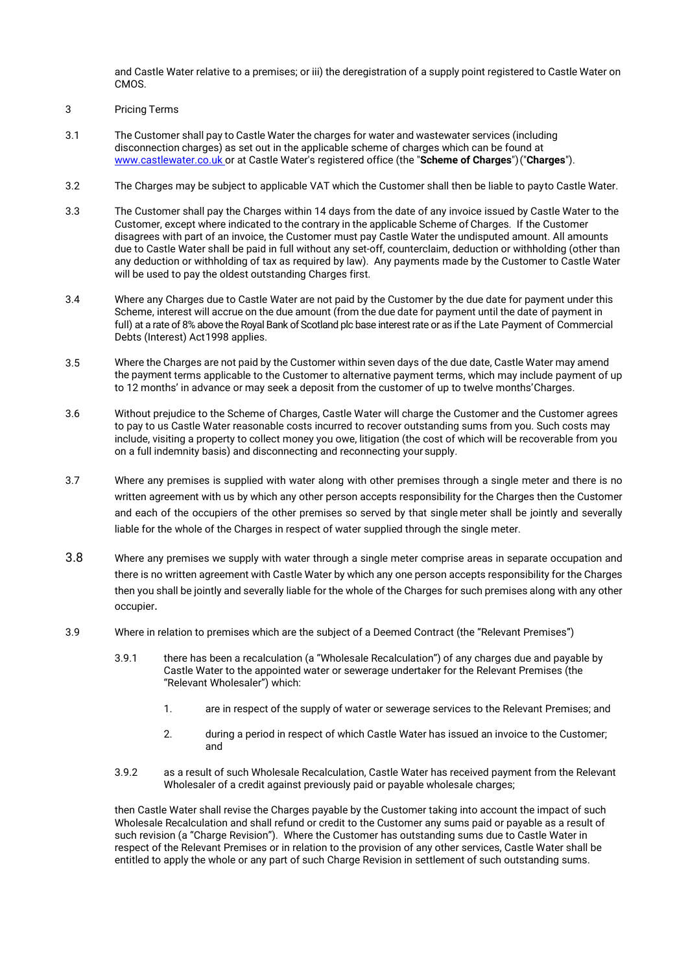and Castle Water relative to a premises; or iii) the deregistration of a supply point registered to Castle Water on CMOS.

- 3 Pricing Terms
- 3.1 The Customer shall pay to Castle Water the charges for water and wastewater services (including disconnection charges) as set out in the applicable scheme of charges which can be found at [www.castlewater.co.uk o](http://www.castlewater.co.uk/)r at Castle Water's registered office (the "**Scheme of Charges**")("**Charges**").
- 3.2 The Charges may be subject to applicable VAT which the Customer shall then be liable to payto Castle Water.
- 3.3 The Customer shall pay the Charges within 14 days from the date of any invoice issued by Castle Water to the Customer, except where indicated to the contrary in the applicable Scheme of Charges. If the Customer disagrees with part of an invoice, the Customer must pay Castle Water the undisputed amount. All amounts due to Castle Water shall be paid in full without any set-off, counterclaim, deduction or withholding (other than any deduction or withholding of tax as required by law). Any payments made by the Customer to Castle Water will be used to pay the oldest outstanding Charges first.
- 3.4 Where any Charges due to Castle Water are not paid by the Customer by the due date for payment under this Scheme, interest will accrue on the due amount (from the due date for payment until the date of payment in full) at a rate of 8% above the Royal Bank of Scotland plc base interest rate or as if the Late Payment of Commercial Debts (Interest) Act1998 applies.
- 3.5 Where the Charges are not paid by the Customer within seven days of the due date, Castle Water may amend the payment terms applicable to the Customer to alternative payment terms, which may include payment of up to 12 months' in advance or may seek a deposit from the customer of up to twelve months'Charges.
- 3.6 Without prejudice to the Scheme of Charges, Castle Water will charge the Customer and the Customer agrees to pay to us Castle Water reasonable costs incurred to recover outstanding sums from you. Such costs may include, visiting a property to collect money you owe, litigation (the cost of which will be recoverable from you on a full indemnity basis) and disconnecting and reconnecting your supply.
- 3.7 Where any premises is supplied with water along with other premises through a single meter and there is no written agreement with us by which any other person accepts responsibility for the Charges then the Customer and each of the occupiers of the other premises so served by that single meter shall be jointly and severally liable for the whole of the Charges in respect of water supplied through the single meter.
- 3.8 Where any premises we supply with water through a single meter comprise areas in separate occupation and there is no written agreement with Castle Water by which any one person accepts responsibility for the Charges then you shall be jointly and severally liable for the whole of the Charges for such premises along with any other occupier.
- 3.9 Where in relation to premises which are the subject of a Deemed Contract (the "Relevant Premises")
	- 3.9.1 there has been a recalculation (a "Wholesale Recalculation") of any charges due and payable by Castle Water to the appointed water or sewerage undertaker for the Relevant Premises (the "Relevant Wholesaler") which:
		- 1. are in respect of the supply of water or sewerage services to the Relevant Premises; and
		- 2. during a period in respect of which Castle Water has issued an invoice to the Customer; and
	- 3.9.2 as a result of such Wholesale Recalculation, Castle Water has received payment from the Relevant Wholesaler of a credit against previously paid or payable wholesale charges;

then Castle Water shall revise the Charges payable by the Customer taking into account the impact of such Wholesale Recalculation and shall refund or credit to the Customer any sums paid or payable as a result of such revision (a "Charge Revision"). Where the Customer has outstanding sums due to Castle Water in respect of the Relevant Premises or in relation to the provision of any other services, Castle Water shall be entitled to apply the whole or any part of such Charge Revision in settlement of such outstanding sums.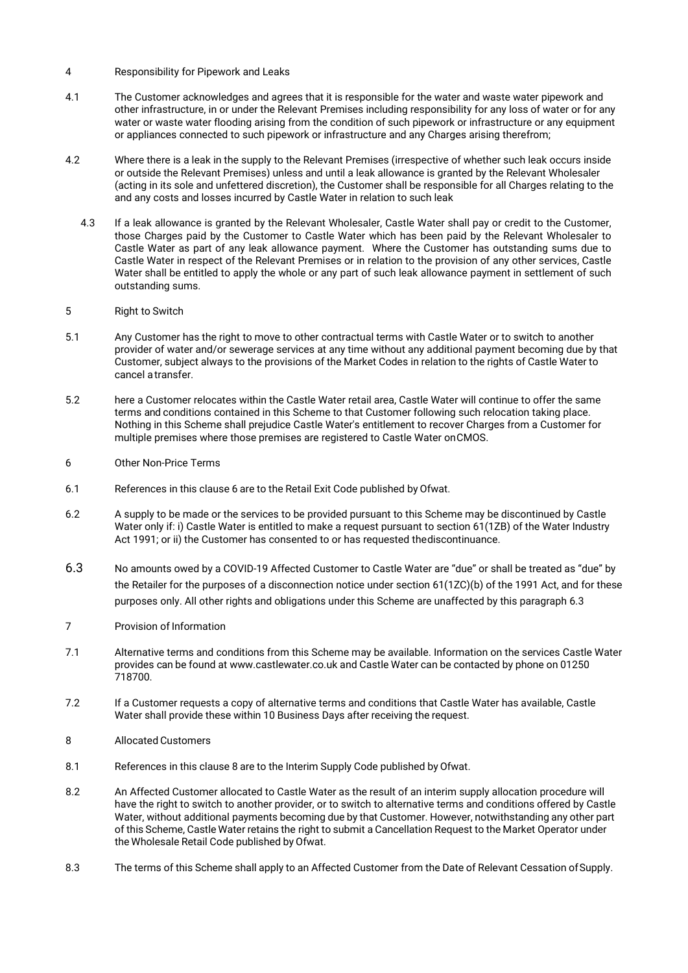- 4 Responsibility for Pipework and Leaks
- 4.1 The Customer acknowledges and agrees that it is responsible for the water and waste water pipework and other infrastructure, in or under the Relevant Premises including responsibility for any loss of water or for any water or waste water flooding arising from the condition of such pipework or infrastructure or any equipment or appliances connected to such pipework or infrastructure and any Charges arising therefrom;
- 4.2 Where there is a leak in the supply to the Relevant Premises (irrespective of whether such leak occurs inside or outside the Relevant Premises) unless and until a leak allowance is granted by the Relevant Wholesaler (acting in its sole and unfettered discretion), the Customer shall be responsible for all Charges relating to the and any costs and losses incurred by Castle Water in relation to such leak
	- 4.3 If a leak allowance is granted by the Relevant Wholesaler, Castle Water shall pay or credit to the Customer, those Charges paid by the Customer to Castle Water which has been paid by the Relevant Wholesaler to Castle Water as part of any leak allowance payment. Where the Customer has outstanding sums due to Castle Water in respect of the Relevant Premises or in relation to the provision of any other services, Castle Water shall be entitled to apply the whole or any part of such leak allowance payment in settlement of such outstanding sums.
- 5 Right to Switch
- 5.1 Any Customer has the right to move to other contractual terms with Castle Water or to switch to another provider of water and/or sewerage services at any time without any additional payment becoming due by that Customer, subject always to the provisions of the Market Codes in relation to the rights of Castle Water to cancel a transfer.
- 5.2 here a Customer relocates within the Castle Water retail area, Castle Water will continue to offer the same terms and conditions contained in this Scheme to that Customer following such relocation taking place. Nothing in this Scheme shall prejudice Castle Water's entitlement to recover Charges from a Customer for multiple premises where those premises are registered to Castle Water onCMOS.
- 6 Other Non-Price Terms
- <span id="page-2-0"></span>6.1 References in this clause 6 are to the Retail Exit Code published by Ofwat.
- 6.2 A supply to be made or the services to be provided pursuant to this Scheme may be discontinued by Castle Water only if: i) Castle Water is entitle[d to](#page-2-0) make a request pursuant to section 61(1ZB) of the Water Industry Act 1991; or ii) the Customer has consented to or has requested thediscontinuance.
- 6.3 No amounts owed by a COVID-19 Affected Customer to Castle Water are "due" or shall be treated as "due" by the Retailer for the purposes of a disconnection notice under section 61(1ZC)(b) of the 1991 Act, and for these purposes only. All other rights and obligations under this Scheme are unaffected by this paragraph 6.3
- 7 Provision of Information
- 7.1 Alternative terms and conditions from this Scheme may be available. Information on the services Castle Water provides can be found at [www.castlewater.co.uk](http://www.castlewater.co.uk/) and Castle Water can be contacted by phone on 01250 718700.
- 7.2 If a Customer requests a copy of alternative terms and conditions that Castle Water has available, Castle Water shall provide these within 10 Business Days after receiving the request.
- 8 Allocated Customers
- 8.1 References in this clause 8 are to the Interim Supply Code published by Ofwat.
- <span id="page-2-1"></span>8.2 An Affected Customer allocated to Castle Water as the result of an interim supply allocation procedure will have the right to switch to another pro[vider,](#page-2-1) or to switch to alternative terms and conditions offered by Castle Water, without additional payments becoming due by that Customer. However, notwithstanding any other part of this Scheme, Castle Water retains the right to submit a Cancellation Request to the Market Operator under the Wholesale Retail Code published by Ofwat.
- 8.3 The terms of this Scheme shall apply to an Affected Customer from the Date of Relevant Cessation of Supply.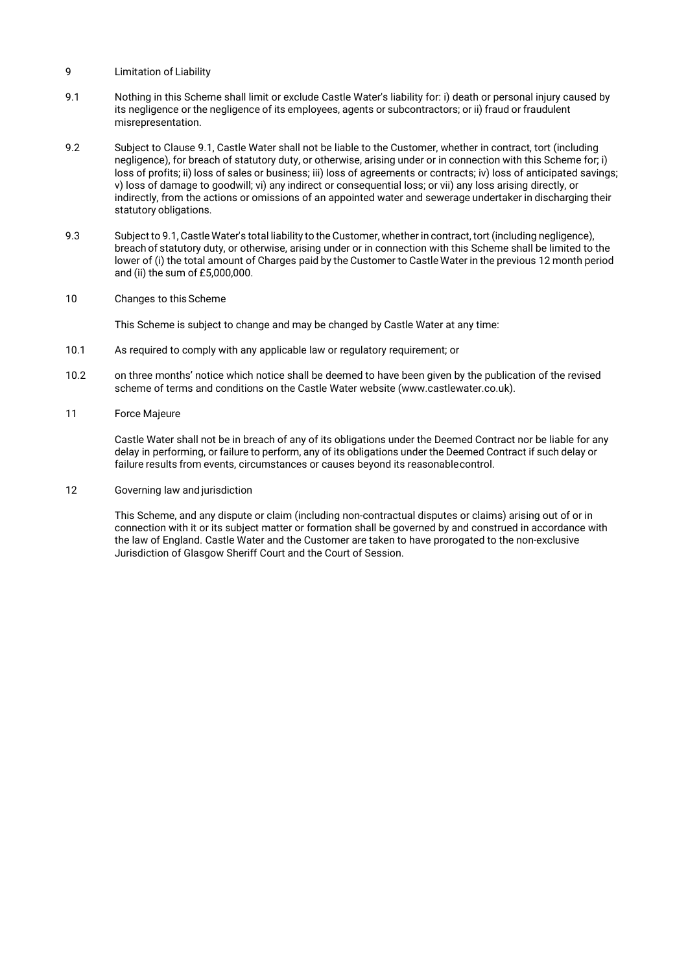- 9 Limitation of Liability
- 9.1 Nothing in this Scheme shall limit or exclude Castle Water's liability for: i) death or personal injury caused by its negligence or the negligence of its employees, agents or subcontractors; or ii) fraud or fraudulent misrepresentation.
- 9.2 Subject t[o Clause](https://uk.practicallaw.thomsonreuters.com/4-318-4952?__lrTS=20170306151323260&amp%3BtransitionType=Default&amp%3BcontextData=(sc.Default)&amp%3BfirstPage=true&amp%3Bco_anchor_a709995) [9.1,](https://uk.practicallaw.thomsonreuters.com/4-318-4952?__lrTS=20170306151323260&amp%3BtransitionType=Default&amp%3BcontextData=(sc.Default)&amp%3BfirstPage=true&amp%3Bco_anchor_a709995) Castle Water shall not be liable to the Customer, whether in contract, tort (including negligence), for breach of statutory duty, or otherwise, arising under or in connection with this Scheme for; i) loss of profits; ii) loss of sales or business; iii) loss of agreements or contracts; iv) loss of anticipated savings; v) loss of damage to goodwill; vi) any indirect or consequential loss; or vii) any loss arising directly, or indirectly, from the actions or omissions of an appointed water and sewerage undertaker in discharging their statutory obligations.
- 9.3 Subject to 9.1, Castle Water's total liability to the Customer, whether in contract, tort (including negligence), breach of statutory duty, or otherwise, arising under or in connection with this Scheme shall be limited to the lower of (i) the total amount of Charges paid by the Customer to Castle Water in the previous 12 month period and (ii) the sum of £5,000,000.
- 10 Changes to this Scheme

This Scheme is subject to change and may be changed by Castle Water at any time:

- 10.1 As required to comply with any applicable law or regulatory requirement; or
- 10.2 on three months' notice which notice shall be deemed to have been given by the publication of the revised scheme of terms and conditions on the Castle Water website (www.castlewater.co.uk).
- 11 Force Majeure

Castle Water shall not be in breach of any of its obligations under the Deemed Contract nor be liable for any delay in performing, or failure to perform, any of its obligations under the Deemed Contract if such delay or failure results from events, circumstances or causes beyond its reasonablecontrol.

12 Governing law and jurisdiction

This Scheme, and any dispute or claim (including non-contractual disputes or claims) arising out of or in connection with it or its subject matter or formation shall be governed by and construed in accordance with the law of England. Castle Water and the Customer are taken to have prorogated to the non-exclusive Jurisdiction of Glasgow Sheriff Court and the Court of Session.